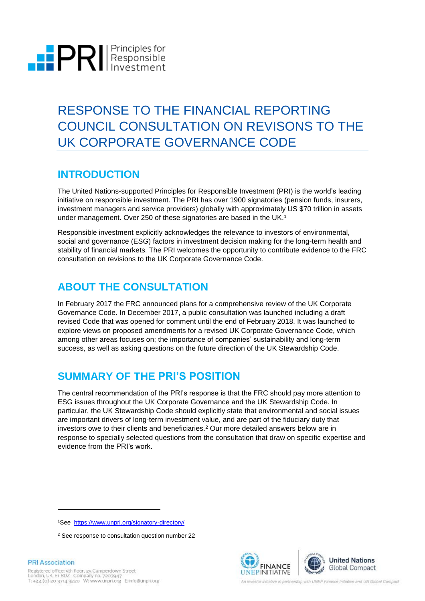

# RESPONSE TO THE FINANCIAL REPORTING COUNCIL CONSULTATION ON REVISONS TO THE UK CORPORATE GOVERNANCE CODE

### **INTRODUCTION**

The United Nations-supported Principles for Responsible Investment (PRI) is the world's leading initiative on responsible investment. The PRI has over 1900 signatories (pension funds, insurers, investment managers and service providers) globally with approximately US \$70 trillion in assets under management. Over 250 of these signatories are based in the UK. 1

Responsible investment explicitly acknowledges the relevance to investors of environmental, social and governance (ESG) factors in investment decision making for the long-term health and stability of financial markets. The PRI welcomes the opportunity to contribute evidence to the FRC consultation on revisions to the UK Corporate Governance Code.

### **ABOUT THE CONSULTATION**

In February 2017 the FRC announced plans for a comprehensive review of the UK Corporate Governance Code. In December 2017, a public consultation was launched including a draft revised Code that was opened for comment until the end of February 2018. It was launched to explore views on proposed amendments for a revised UK Corporate Governance Code, which among other areas focuses on; the importance of companies' sustainability and long-term success, as well as asking questions on the future direction of the UK Stewardship Code.

### **SUMMARY OF THE PRI'S POSITION**

The central recommendation of the PRI's response is that the FRC should pay more attention to ESG issues throughout the UK Corporate Governance and the UK Stewardship Code. In particular, the UK Stewardship Code should explicitly state that environmental and social issues are important drivers of long-term investment value, and are part of the fiduciary duty that investors owe to their clients and beneficiaries.<sup>2</sup> Our more detailed answers below are in response to specially selected questions from the consultation that draw on specific expertise and evidence from the PRI's work.



l

**PRI Association** 

<sup>1</sup>See<https://www.unpri.org/signatory-directory/>

<sup>2</sup> See response to consultation question number 22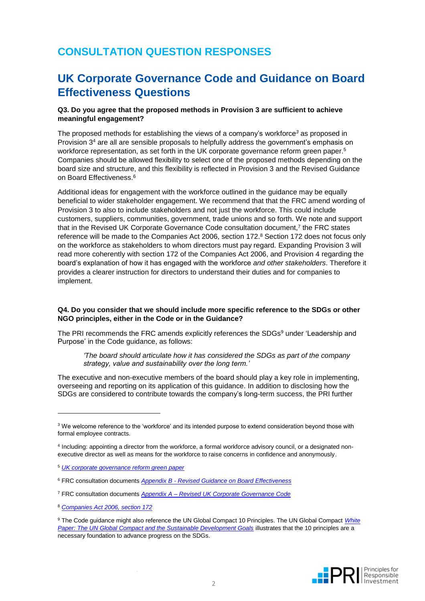### **CONSULTATION QUESTION RESPONSES**

### **UK Corporate Governance Code and Guidance on Board Effectiveness Questions**

#### **Q3. Do you agree that the proposed methods in Provision 3 are sufficient to achieve meaningful engagement?**

The proposed methods for establishing the views of a company's workforce*<sup>3</sup>* as proposed in Provision 3 <sup>4</sup> are all are sensible proposals to helpfully address the government's emphasis on workforce representation, as set forth in the UK corporate governance reform green paper.<sup>5</sup> Companies should be allowed flexibility to select one of the proposed methods depending on the board size and structure, and this flexibility is reflected in Provision 3 and the Revised Guidance on Board Effectiveness. 6

Additional ideas for engagement with the workforce outlined in the guidance may be equally beneficial to wider stakeholder engagement. We recommend that that the FRC amend wording of Provision 3 to also to include stakeholders and not just the workforce. This could include customers, suppliers, communities, government, trade unions and so forth. We note and support that in the Revised UK Corporate Governance Code consultation document,<sup>7</sup> the FRC states reference will be made to the Companies Act 2006, section 172.<sup>8</sup> Section 172 does not focus only on the workforce as stakeholders to whom directors must pay regard. Expanding Provision 3 will read more coherently with section 172 of the Companies Act 2006, and Provision 4 regarding the board's explanation of how it has engaged with the workforce *and other stakeholders*. Therefore it provides a clearer instruction for directors to understand their duties and for companies to implement.

#### **Q4. Do you consider that we should include more specific reference to the SDGs or other NGO principles, either in the Code or in the Guidance?**

The PRI recommends the FRC amends explicitly references the SDGs <sup>9</sup> under 'Leadership and Purpose' in the Code guidance, as follows:

*'The board should articulate how it has considered the SDGs as part of the company strategy, value and sustainability over the long term.'*

The executive and non-executive members of the board should play a key role in implementing, overseeing and reporting on its application of this guidance. In addition to disclosing how the SDGs are considered to contribute towards the company's long-term success, the PRI further

<sup>8</sup> *[Companies Act 2006, section 172](https://www.legislation.gov.uk/ukpga/2006/46/section/172)*

<sup>9</sup> The Code guidance might also reference the UN Global Compact 10 Principles. The UN Global Compact *[White](https://www.unglobalcompact.org/docs/about_the_gc/White_Paper_Principles_SDGs.pdf)  [Paper: The UN Global Compact and the Sustainable Development Goals](https://www.unglobalcompact.org/docs/about_the_gc/White_Paper_Principles_SDGs.pdf)* illustrates that the 10 principles are a necessary foundation to advance progress on the SDGs.



<sup>3</sup> We welcome reference to the 'workforce' and its intended purpose to extend consideration beyond those with formal employee contracts.

<sup>4</sup> Including: appointing a director from the workforce, a formal workforce advisory council, or a designated nonexecutive director as well as means for the workforce to raise concerns in confidence and anonymously.

<sup>5</sup> *[UK corporate governance reform green paper](https://www.gov.uk/government/uploads/system/uploads/attachment_data/file/584013/corporate-governance-reform-green-paper.pdf)*

<sup>6</sup> FRC consultation documents *Appendix B - [Revised Guidance on Board Effectiveness](https://www.frc.org.uk/document-library/corporate-governance/2017/proposed-revisions-to-the-uk-corporate-governa-(1))*

<sup>7</sup> FRC consultation documents *Appendix A – [Revised UK Corporate Governance Code](https://www.frc.org.uk/document-library/corporate-governance/2017/proposed-revisions-to-the-uk-corporate-governance)*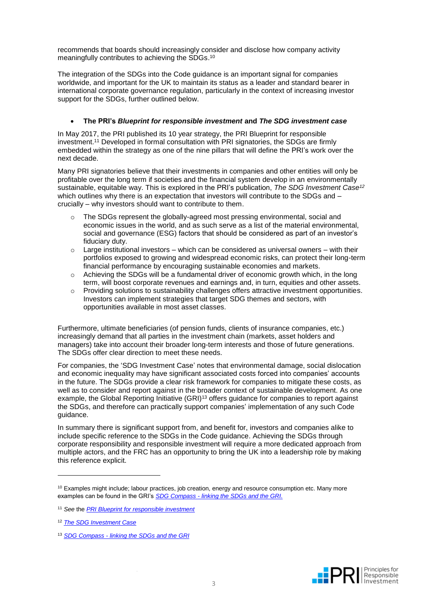recommends that boards should increasingly consider and disclose how company activity meaningfully contributes to achieving the SDGs. 10

The integration of the SDGs into the Code guidance is an important signal for companies worldwide, and important for the UK to maintain its status as a leader and standard bearer in international corporate governance regulation, particularly in the context of increasing investor support for the SDGs, further outlined below.

#### • **The PRI's** *Blueprint for responsible investment* **and** *The SDG investment case*

In May 2017, the PRI published its 10 year strategy, the PRI Blueprint for responsible investment. <sup>11</sup> Developed in formal consultation with PRI signatories, the SDGs are firmly embedded within the strategy as one of the nine pillars that will define the PRI's work over the next decade.

Many PRI signatories believe that their investments in companies and other entities will only be profitable over the long term if societies and the financial system develop in an environmentally sustainable, equitable way. This is explored in the PRI's publication, *The SDG Investment Case<sup>12</sup>* which outlines why there is an expectation that investors will contribute to the SDGs and – crucially – why investors should want to contribute to them.

- o The SDGs represent the globally-agreed most pressing environmental, social and economic issues in the world, and as such serve as a list of the material environmental, social and governance (ESG) factors that should be considered as part of an investor's fiduciary duty.
- $\circ$  Large institutional investors which can be considered as universal owners with their portfolios exposed to growing and widespread economic risks, can protect their long-term financial performance by encouraging sustainable economies and markets.
- $\circ$  Achieving the SDGs will be a fundamental driver of economic growth which, in the long term, will boost corporate revenues and earnings and, in turn, equities and other assets.
- $\circ$  Providing solutions to sustainability challenges offers attractive investment opportunities. Investors can implement strategies that target SDG themes and sectors, with opportunities available in most asset classes.

Furthermore, ultimate beneficiaries (of pension funds, clients of insurance companies, etc.) increasingly demand that all parties in the investment chain (markets, asset holders and managers) take into account their broader long-term interests and those of future generations. The SDGs offer clear direction to meet these needs.

For companies, the 'SDG Investment Case' notes that environmental damage, social dislocation and economic inequality may have significant associated costs forced into companies' accounts in the future. The SDGs provide a clear risk framework for companies to mitigate these costs, as well as to consider and report against in the broader context of sustainable development. As one example, the Global Reporting Initiative (GRI)<sup>13</sup> offers guidance for companies to report against the SDGs, and therefore can practically support companies' implementation of any such Code guidance.

In summary there is significant support from, and benefit for, investors and companies alike to include specific reference to the SDGs in the Code guidance. Achieving the SDGs through corporate responsibility and responsible investment will require a more dedicated approach from multiple actors, and the FRC has an opportunity to bring the UK into a leadership role by making this reference explicit.



 $10$  Examples might include; labour practices, job creation, energy and resource consumption etc. Many more examples can be found in the GRI's *SDG Compass - [linking the SDGs and the GRI.](https://www.globalreporting.org/standards/resource-download-center/sdg-compass-annex-linking-the-sdgs-and-gri-standards/?g=e6f47b7a-0801-4abc-a7ff-c4130055cdef)*

<sup>11</sup> *See* the *[PRI Blueprint for responsible investment](https://blueprint.unpri.org/)*

<sup>12</sup> *[The SDG Investment Case](https://www.unpri.org/download_report/42251)*

<sup>13</sup> *SDG Compass - [linking the SDGs and the GRI](https://www.globalreporting.org/standards/resource-download-center/sdg-compass-annex-linking-the-sdgs-and-gri-standards/?g=e6f47b7a-0801-4abc-a7ff-c4130055cdef)*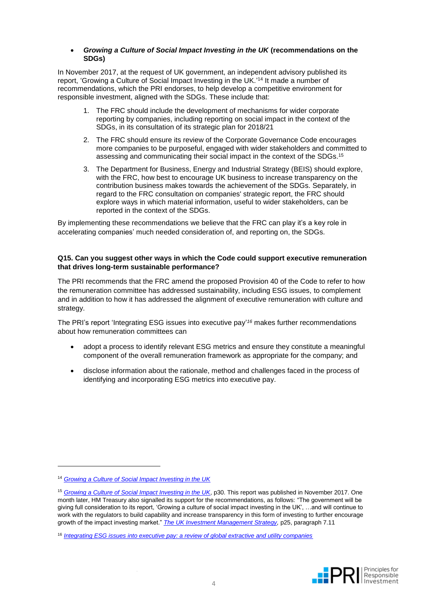#### • *Growing a Culture of Social Impact Investing in the UK* **(recommendations on the SDGs)**

In November 2017, at the request of UK government, an independent advisory published its report, 'Growing a Culture of Social Impact Investing in the UK.' <sup>14</sup> It made a number of recommendations, which the PRI endorses, to help develop a competitive environment for responsible investment, aligned with the SDGs. These include that:

- 1. The FRC should include the development of mechanisms for wider corporate reporting by companies, including reporting on social impact in the context of the SDGs, in its consultation of its strategic plan for 2018/21
- 2. The FRC should ensure its review of the Corporate Governance Code encourages more companies to be purposeful, engaged with wider stakeholders and committed to assessing and communicating their social impact in the context of the SDGs. 15
- 3. The Department for Business, Energy and Industrial Strategy (BEIS) should explore, with the FRC, how best to encourage UK business to increase transparency on the contribution business makes towards the achievement of the SDGs. Separately, in regard to the FRC consultation on companies' strategic report, the FRC should explore ways in which material information, useful to wider stakeholders, can be reported in the context of the SDGs.

By implementing these recommendations we believe that the FRC can play it's a key role in accelerating companies' much needed consideration of, and reporting on, the SDGs.

#### **Q15. Can you suggest other ways in which the Code could support executive remuneration that drives long-term sustainable performance?**

The PRI recommends that the FRC amend the proposed Provision 40 of the Code to refer to how the remuneration committee has addressed sustainability, including ESG issues, to complement and in addition to how it has addressed the alignment of executive remuneration with culture and strategy.

The PRI's report 'Integrating ESG issues into executive pay' *<sup>16</sup>* makes further recommendations about how remuneration committees can

- adopt a process to identify relevant ESG metrics and ensure they constitute a meaningful component of the overall remuneration framework as appropriate for the company; and
- disclose information about the rationale, method and challenges faced in the process of identifying and incorporating ESG metrics into executive pay.

<sup>16</sup> *[Integrating ESG issues into executive pay: a review of global extractive and utility companies](https://www.unpri.org/download_report/8534)*



<sup>14</sup> *[Growing a Culture of Social Impact Investing in the UK](https://www.gov.uk/government/publications/growing-a-culture-of-social-impact-investing-in-the-uk)*

<sup>15</sup> *[Growing a Culture of Social Impact Investing in the UK](https://www.gov.uk/government/publications/growing-a-culture-of-social-impact-investing-in-the-uk)*, p30. This report was published in November 2017. One month later, HM Treasury also signalled its support for the recommendations, as follows: "The government will be giving full consideration to its report, 'Growing a culture of social impact investing in the UK', …and will continue to work with the regulators to build capability and increase transparency in this form of investing to further encourage growth of the impact investing market." *[The UK Investment Management Strategy,](https://www.gov.uk/government/uploads/system/uploads/attachment_data/file/665668/The_Investment_Management_Strategy_II.pdf)* p25, paragraph 7.11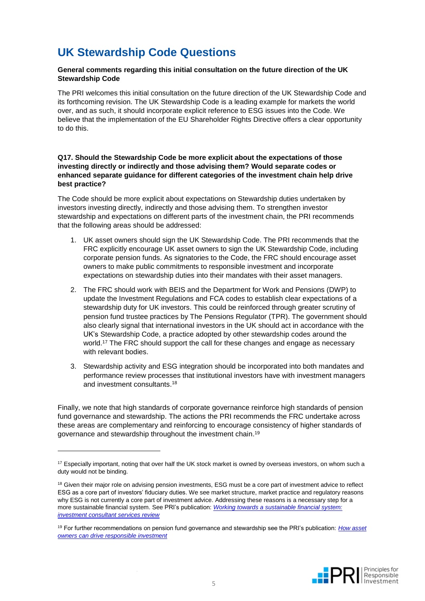## **UK Stewardship Code Questions**

#### **General comments regarding this initial consultation on the future direction of the UK Stewardship Code**

The PRI welcomes this initial consultation on the future direction of the UK Stewardship Code and its forthcoming revision. The UK Stewardship Code is a leading example for markets the world over, and as such, it should incorporate explicit reference to ESG issues into the Code. We believe that the implementation of the EU Shareholder Rights Directive offers a clear opportunity to do this.

#### **Q17. Should the Stewardship Code be more explicit about the expectations of those investing directly or indirectly and those advising them? Would separate codes or enhanced separate guidance for different categories of the investment chain help drive best practice?**

The Code should be more explicit about expectations on Stewardship duties undertaken by investors investing directly, indirectly and those advising them. To strengthen investor stewardship and expectations on different parts of the investment chain, the PRI recommends that the following areas should be addressed:

- 1. UK asset owners should sign the UK Stewardship Code. The PRI recommends that the FRC explicitly encourage UK asset owners to sign the UK Stewardship Code, including corporate pension funds. As signatories to the Code, the FRC should encourage asset owners to make public commitments to responsible investment and incorporate expectations on stewardship duties into their mandates with their asset managers.
- 2. The FRC should work with BEIS and the Department for Work and Pensions (DWP) to update the Investment Regulations and FCA codes to establish clear expectations of a stewardship duty for UK investors. This could be reinforced through greater scrutiny of pension fund trustee practices by The Pensions Regulator (TPR). The government should also clearly signal that international investors in the UK should act in accordance with the UK's Stewardship Code, a practice adopted by other stewardship codes around the world.<sup>17</sup> The FRC should support the call for these changes and engage as necessary with relevant bodies.
- 3. Stewardship activity and ESG integration should be incorporated into both mandates and performance review processes that institutional investors have with investment managers and investment consultants. 18

Finally, we note that high standards of corporate governance reinforce high standards of pension fund governance and stewardship. The actions the PRI recommends the FRC undertake across these areas are complementary and reinforcing to encourage consistency of higher standards of governance and stewardship throughout the investment chain.<sup>19</sup>

<sup>19</sup> For further recommendations on pension fund governance and stewardship see the PRI's publication: *[How asset](https://www.unpri.org/download_report/6385)  [owners can drive responsible investment](https://www.unpri.org/download_report/6385)*



<sup>&</sup>lt;sup>17</sup> Especially important, noting that over half the UK stock market is owned by overseas investors, on whom such a duty would not be binding.

<sup>&</sup>lt;sup>18</sup> Given their major role on advising pension investments, ESG must be a core part of investment advice to reflect ESG as a core part of investors' fiduciary duties. We see market structure, market practice and regulatory reasons why ESG is not currently a core part of investment advice. Addressing these reasons is a necessary step for a more sustainable financial system. See PRI's publication: *[Working towards a sustainable financial system:](https://www.unpri.org/download_report/45165)  [investment consultant services review](https://www.unpri.org/download_report/45165)*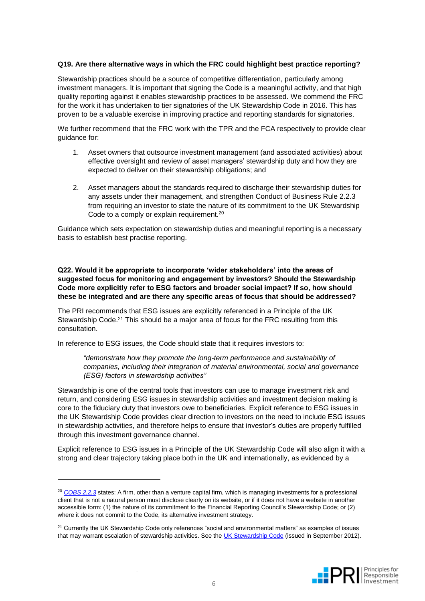#### **Q19. Are there alternative ways in which the FRC could highlight best practice reporting?**

Stewardship practices should be a source of competitive differentiation, particularly among investment managers. It is important that signing the Code is a meaningful activity, and that high quality reporting against it enables stewardship practices to be assessed. We commend the FRC for the work it has undertaken to tier signatories of the UK Stewardship Code in 2016. This has proven to be a valuable exercise in improving practice and reporting standards for signatories.

We further recommend that the FRC work with the TPR and the FCA respectively to provide clear guidance for:

- 1. Asset owners that outsource investment management (and associated activities) about effective oversight and review of asset managers' stewardship duty and how they are expected to deliver on their stewardship obligations; and
- 2. Asset managers about the standards required to discharge their stewardship duties for any assets under their management, and strengthen Conduct of Business Rule 2.2.3 from requiring an investor to state the nature of its commitment to the UK Stewardship Code to a comply or explain requirement.<sup>20</sup>

Guidance which sets expectation on stewardship duties and meaningful reporting is a necessary basis to establish best practise reporting.

**Q22. Would it be appropriate to incorporate 'wider stakeholders' into the areas of suggested focus for monitoring and engagement by investors? Should the Stewardship Code more explicitly refer to ESG factors and broader social impact? If so, how should these be integrated and are there any specific areas of focus that should be addressed?**

The PRI recommends that ESG issues are explicitly referenced in a Principle of the UK Stewardship Code.<sup>21</sup> This should be a major area of focus for the FRC resulting from this consultation.

In reference to ESG issues, the Code should state that it requires investors to:

l

*"demonstrate how they promote the long-term performance and sustainability of companies, including their integration of material environmental, social and governance (ESG) factors in stewardship activities"*

Stewardship is one of the central tools that investors can use to manage investment risk and return, and considering ESG issues in stewardship activities and investment decision making is core to the fiduciary duty that investors owe to beneficiaries. Explicit reference to ESG issues in the UK Stewardship Code provides clear direction to investors on the need to include ESG issues in stewardship activities, and therefore helps to ensure that investor's duties are properly fulfilled through this investment governance channel.

Explicit reference to ESG issues in a Principle of the UK Stewardship Code will also align it with a strong and clear trajectory taking place both in the UK and internationally, as evidenced by a

<sup>&</sup>lt;sup>21</sup> Currently the UK Stewardship Code only references "social and environmental matters" as examples of issues that may warrant escalation of stewardship activities. See the [UK Stewardship Code](https://www.frc.org.uk/getattachment/d67933f9-ca38-4233-b603-3d24b2f62c5f/UK-Stewardship-Code-(September-2012).pdf) (issued in September 2012).



<sup>20</sup> *[COBS 2.2.3](https://www.handbook.fca.org.uk/handbook/COBS.pdf)* states: A firm, other than a venture capital firm, which is managing investments for a professional client that is not a natural person must disclose clearly on its website, or if it does not have a website in another accessible form: (1) the nature of its commitment to the Financial Reporting Council's Stewardship Code; or (2) where it does not commit to the Code, its alternative investment strategy.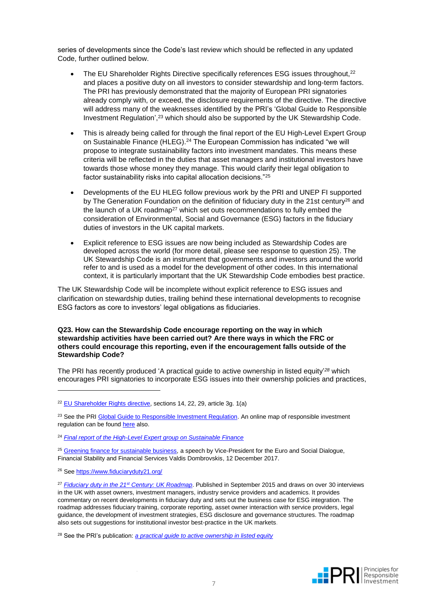series of developments since the Code's last review which should be reflected in any updated Code, further outlined below.

- The EU Shareholder Rights Directive specifically references ESG issues throughout,<sup>22</sup> and places a positive duty on all investors to consider stewardship and long-term factors. The PRI has previously demonstrated that the majority of European PRI signatories already comply with, or exceed, the disclosure requirements of the directive. The directive will address many of the weaknesses identified by the PRI's 'Global Guide to Responsible Investment Regulation', <sup>23</sup> which should also be supported by the UK Stewardship Code.
- This is already being called for through the final report of the EU High-Level Expert Group on Sustainable Finance (HLEG). <sup>24</sup> The European Commission has indicated "we will propose to integrate sustainability factors into investment mandates. This means these criteria will be reflected in the duties that asset managers and institutional investors have towards those whose money they manage. This would clarify their legal obligation to factor sustainability risks into capital allocation decisions."<sup>25</sup>
- Developments of the EU HLEG follow previous work by the PRI and UNEP FI supported by The Generation Foundation on the definition of fiduciary duty in the 21st century<sup>26</sup> and the launch of a UK roadmap<sup>27</sup> which set outs recommendations to fully embed the consideration of Environmental, Social and Governance (ESG) factors in the fiduciary duties of investors in the UK capital markets.
- Explicit reference to ESG issues are now being included as Stewardship Codes are developed across the world (for more detail, please see response to question 25). The UK Stewardship Code is an instrument that governments and investors around the world refer to and is used as a model for the development of other codes. In this international context, it is particularly important that the UK Stewardship Code embodies best practice.

The UK Stewardship Code will be incomplete without explicit reference to ESG issues and clarification on stewardship duties, trailing behind these international developments to recognise ESG factors as core to investors' legal obligations as fiduciaries.

#### **Q23. How can the Stewardship Code encourage reporting on the way in which stewardship activities have been carried out? Are there ways in which the FRC or others could encourage this reporting, even if the encouragement falls outside of the Stewardship Code?**

The PRI has recently produced 'A practical guide to active ownership in listed equity' *<sup>28</sup>* which encourages PRI signatories to incorporate ESG issues into their ownership policies and practices,

<sup>23</sup> See the PR[I Global Guide to Responsible Investment Regulation.](http://bit.ly/2gY8tBw) An online map of responsible investment regulation can be found [here](https://www.unpri.org/page/responsible-investment-regulation) also.

<sup>26</sup> See<https://www.fiduciaryduty21.org/>



<sup>22</sup> [EU Shareholder Rights directive,](http://eur-lex.europa.eu/legal-content/EN/TXT/?uri=CELEX:32017L0828) sections 14, 22, 29, article 3g. 1(a)

<sup>24</sup> *[Final report of the High-Level Expert group on Sustainable Finance](https://ec.europa.eu/info/publications/180131-sustainable-finance-report_en)*

<sup>25</sup> [Greening finance for sustainable business](http://europa.eu/rapid/press-release_SPEECH-17-5235_en.htm)*,* a speech by Vice-President for the Euro and Social Dialogue, Financial Stability and Financial Services Valdis Dombrovskis, 12 December 2017.

<sup>27</sup> *[Fiduciary duty in the 21](https://www.fiduciaryduty21.org/united-kingdom.html)st Century: UK Roadmap*. Published in September 2015 and draws on over 30 interviews in the UK with asset owners, investment managers, industry service providers and academics. It provides commentary on recent developments in fiduciary duty and sets out the business case for ESG integration. The roadmap addresses fiduciary training, corporate reporting, asset owner interaction with service providers, legal guidance, the development of investment strategies, ESG disclosure and governance structures. The roadmap also sets out suggestions for institutional investor best-practice in the UK markets.

<sup>28</sup> See the PRI's publication: *[a practical guide to active ownership in listed equity](https://www.unpri.org/download_report/48677)*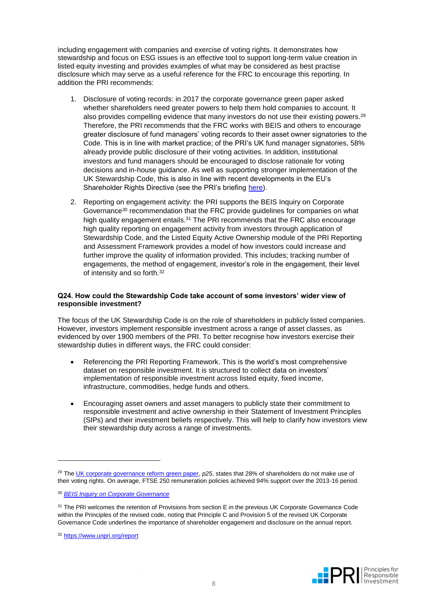including engagement with companies and exercise of voting rights. It demonstrates how stewardship and focus on ESG issues is an effective tool to support long-term value creation in listed equity investing and provides examples of what may be considered as best practise disclosure which may serve as a useful reference for the FRC to encourage this reporting. In addition the PRI recommends:

- 1. Disclosure of voting records: in 2017 the corporate governance green paper asked whether shareholders need greater powers to help them hold companies to account. It also provides compelling evidence that many investors do not use their existing powers.<sup>29</sup> Therefore, the PRI recommends that the FRC works with BEIS and others to encourage greater disclosure of fund managers' voting records to their asset owner signatories to the Code. This is in line with market practice; of the PRI's UK fund manager signatories, 58% already provide public disclosure of their voting activities. In addition, institutional investors and fund managers should be encouraged to disclose rationale for voting decisions and in-house guidance. As well as supporting stronger implementation of the UK Stewardship Code, this is also in line with recent developments in the EU's Shareholder Rights Directive (see the PRI's briefing [here\)](https://www.unpri.org/download_report/28152).
- 2. Reporting on engagement activity: the PRI supports the BEIS Inquiry on Corporate Governance<sup>30</sup> recommendation that the FRC provide guidelines for companies on what high quality engagement entails.<sup>31</sup> The PRI recommends that the FRC also encourage high quality reporting on engagement activity from investors through application of Stewardship Code, and the Listed Equity Active Ownership module of the PRI Reporting and Assessment Framework provides a model of how investors could increase and further improve the quality of information provided. This includes; tracking number of engagements, the method of engagement, investor's role in the engagement, their level of intensity and so forth.<sup>32</sup>

#### **Q24. How could the Stewardship Code take account of some investors' wider view of responsible investment?**

The focus of the UK Stewardship Code is on the role of shareholders in publicly listed companies. However, investors implement responsible investment across a range of asset classes, as evidenced by over 1900 members of the PRI. To better recognise how investors exercise their stewardship duties in different ways, the FRC could consider:

- Referencing the PRI Reporting Framework. This is the world's most comprehensive dataset on responsible investment. It is structured to collect data on investors' implementation of responsible investment across listed equity, fixed income, infrastructure, commodities, hedge funds and others.
- Encouraging asset owners and asset managers to publicly state their commitment to responsible investment and active ownership in their Statement of Investment Principles (SIPs) and their investment beliefs respectively. This will help to clarify how investors view their stewardship duty across a range of investments.



<sup>29</sup> Th[e UK corporate governance reform green paper,](https://www.gov.uk/government/uploads/system/uploads/attachment_data/file/584013/corporate-governance-reform-green-paper.pdf) *p25*, states that 28% of shareholders do not make use of their voting rights. On average, FTSE 250 remuneration policies achieved 94% support over the 2013-16 period.

<sup>30</sup> *[BEIS Inquiry on Corporate Governance](https://publications.parliament.uk/pa/cm201617/cmselect/cmbeis/702/70206.htm#_idTextAnchor032)*

<sup>&</sup>lt;sup>31</sup> The PRI welcomes the retention of Provisions from section E in the previous UK Corporate Governance Code within the Principles of the revised code, noting that Principle C and Provision 5 of the revised UK Corporate Governance Code underlines the importance of shareholder engagement and disclosure on the annual report.

<sup>32</sup> <https://www.unpri.org/report>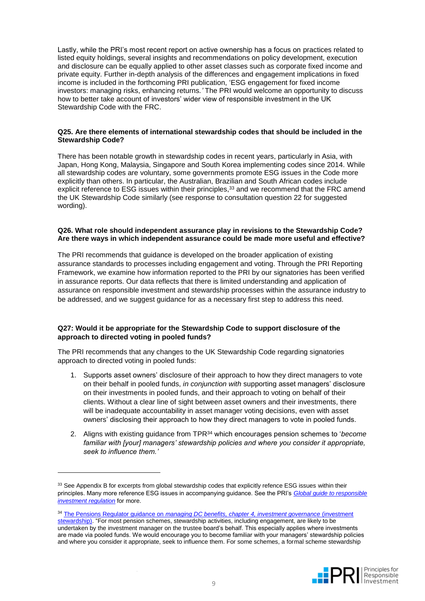Lastly, while the PRI's most recent report on active ownership has a focus on practices related to listed equity holdings, several insights and recommendations on policy development, execution and disclosure can be equally applied to other asset classes such as corporate fixed income and private equity. Further in-depth analysis of the differences and engagement implications in fixed income is included in the forthcoming PRI publication, 'ESG engagement for fixed income investors: managing risks, enhancing returns*.'* The PRI would welcome an opportunity to discuss how to better take account of investors' wider view of responsible investment in the UK Stewardship Code with the FRC.

#### **Q25. Are there elements of international stewardship codes that should be included in the Stewardship Code?**

There has been notable growth in stewardship codes in recent years, particularly in Asia, with Japan, Hong Kong, Malaysia, Singapore and South Korea implementing codes since 2014. While all stewardship codes are voluntary, some governments promote ESG issues in the Code more explicitly than others. In particular, the Australian, Brazilian and South African codes include explicit reference to ESG issues within their principles,<sup>33</sup> and we recommend that the FRC amend the UK Stewardship Code similarly (see response to consultation question 22 for suggested wording).

#### **Q26. What role should independent assurance play in revisions to the Stewardship Code? Are there ways in which independent assurance could be made more useful and effective?**

The PRI recommends that guidance is developed on the broader application of existing assurance standards to processes including engagement and voting. Through the PRI Reporting Framework, we examine how information reported to the PRI by our signatories has been verified in assurance reports. Our data reflects that there is limited understanding and application of assurance on responsible investment and stewardship processes within the assurance industry to be addressed, and we suggest guidance for as a necessary first step to address this need.

#### **Q27: Would it be appropriate for the Stewardship Code to support disclosure of the approach to directed voting in pooled funds?**

The PRI recommends that any changes to the UK Stewardship Code regarding signatories approach to directed voting in pooled funds:

- 1. Supports asset owners' disclosure of their approach to how they direct managers to vote on their behalf in pooled funds, *in conjunction with* supporting asset managers' disclosure on their investments in pooled funds, and their approach to voting on behalf of their clients. Without a clear line of sight between asset owners and their investments, there will be inadequate accountability in asset manager voting decisions, even with asset owners' disclosing their approach to how they direct managers to vote in pooled funds.
- 2. Aligns with existing guidance from TPR<sup>34</sup> which encourages pension schemes to '*become familiar with [your] managers' stewardship policies and where you consider it appropriate, seek to influence them.'*

<sup>34</sup> The Pensions Regulator guidance on *[managing DC benefits, chapter 4, investment governance](http://www.thepensionsregulator.gov.uk/trustees/investment-management-in-your-dc-scheme.aspx#s22311)* (investment [stewardship\).](http://www.thepensionsregulator.gov.uk/trustees/investment-management-in-your-dc-scheme.aspx#s22311) "For most pension schemes, stewardship activities, including engagement, are likely to be undertaken by the investment manager on the trustee board's behalf. This especially applies where investments are made via pooled funds. We would encourage you to become familiar with your managers' stewardship policies and where you consider it appropriate, seek to influence them. For some schemes, a formal scheme stewardship



<sup>&</sup>lt;sup>33</sup> See Appendix B for excerpts from global stewardship codes that explicitly refence ESG issues within their principles. Many more reference ESG issues in accompanying guidance. See the PRI's *[Global guide to responsible](https://www.unpri.org/download_report/22438)  [investment regulation](https://www.unpri.org/download_report/22438)* for more.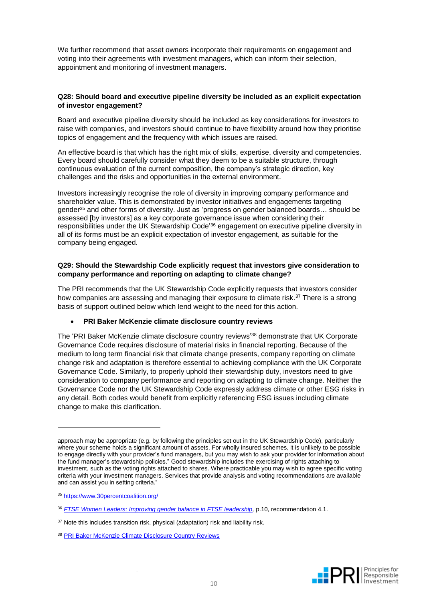We further recommend that asset owners incorporate their requirements on engagement and voting into their agreements with investment managers, which can inform their selection, appointment and monitoring of investment managers.

#### **Q28: Should board and executive pipeline diversity be included as an explicit expectation of investor engagement?**

Board and executive pipeline diversity should be included as key considerations for investors to raise with companies, and investors should continue to have flexibility around how they prioritise topics of engagement and the frequency with which issues are raised.

An effective board is that which has the right mix of skills, expertise, diversity and competencies. Every board should carefully consider what they deem to be a suitable structure, through continuous evaluation of the current composition, the company's strategic direction, key challenges and the risks and opportunities in the external environment.

Investors increasingly recognise the role of diversity in improving company performance and shareholder value. This is demonstrated by investor initiatives and engagements targeting gender<sup>35</sup> and other forms of diversity. Just as 'progress on gender balanced boards… should be assessed [by investors] as a key corporate governance issue when considering their responsibilities under the UK Stewardship Code' <sup>36</sup> engagement on executive pipeline diversity in all of its forms must be an explicit expectation of investor engagement, as suitable for the company being engaged.

#### **Q29: Should the Stewardship Code explicitly request that investors give consideration to company performance and reporting on adapting to climate change?**

The PRI recommends that the UK Stewardship Code explicitly requests that investors consider how companies are assessing and managing their exposure to climate risk.<sup>37</sup> There is a strong basis of support outlined below which lend weight to the need for this action.

#### • **PRI Baker McKenzie climate disclosure country reviews**

The 'PRI Baker McKenzie climate disclosure country reviews' <sup>38</sup> demonstrate that UK Corporate Governance Code requires disclosure of material risks in financial reporting. Because of the medium to long term financial risk that climate change presents, company reporting on climate change risk and adaptation is therefore essential to achieving compliance with the UK Corporate Governance Code. Similarly, to properly uphold their stewardship duty, investors need to give consideration to company performance and reporting on adapting to climate change. Neither the Governance Code nor the UK Stewardship Code expressly address climate or other ESG risks in any detail. Both codes would benefit from explicitly referencing ESG issues including climate change to make this clarification.



approach may be appropriate (e.g. by following the principles set out in the UK Stewardship Code), particularly where your scheme holds a significant amount of assets. For wholly insured schemes, it is unlikely to be possible to engage directly with your provider's fund managers, but you may wish to ask your provider for information about the fund manager's stewardship policies." Good stewardship includes the exercising of rights attaching to investment, such as the voting rights attached to shares. Where practicable you may wish to agree specific voting criteria with your investment managers. Services that provide analysis and voting recommendations are available and can assist you in setting criteria."

<sup>35</sup> <https://www.30percentcoalition.org/>

<sup>36</sup> *[FTSE Women Leaders: Improving gender balance in FTSE leadership,](https://ftsewomenleaders.com/wp-content/uploads/2016/11/Hampton-Alexander-2016.pdf)* p.10, recommendation 4.1.

<sup>&</sup>lt;sup>37</sup> Note this includes transition risk, physical (adaptation) risk and liability risk.

<sup>38</sup> [PRI Baker McKenzie Climate Disclosure Country Reviews](https://www.unpri.org/download_report/42201)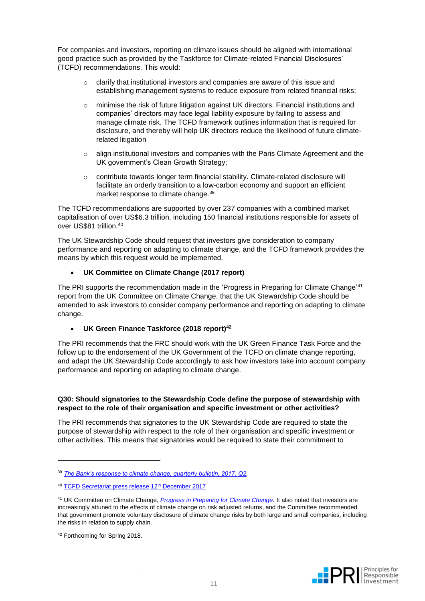For companies and investors, reporting on climate issues should be aligned with international good practice such as provided by the Taskforce for Climate-related Financial Disclosures' (TCFD) recommendations. This would:

- $\circ$  clarify that institutional investors and companies are aware of this issue and establishing management systems to reduce exposure from related financial risks;
- o minimise the risk of future litigation against UK directors. Financial institutions and companies' directors may face legal liability exposure by failing to assess and manage climate risk. The TCFD framework outlines information that is required for disclosure, and thereby will help UK directors reduce the likelihood of future climaterelated litigation
- $\circ$  align institutional investors and companies with the Paris Climate Agreement and the UK government's Clean Growth Strategy;
- o contribute towards longer term financial stability. Climate-related disclosure will facilitate an orderly transition to a low-carbon economy and support an efficient market response to climate change. 39

The TCFD recommendations are supported by over 237 companies with a combined market capitalisation of over US\$6.3 trillion, including 150 financial institutions responsible for assets of over US\$81 trillion. 40

The UK Stewardship Code should request that investors give consideration to company performance and reporting on adapting to climate change, and the TCFD framework provides the means by which this request would be implemented.

#### • **UK Committee on Climate Change (2017 report)**

The PRI supports the recommendation made in the 'Progress in Preparing for Climate Change'<sup>41</sup> report from the UK Committee on Climate Change, that the UK Stewardship Code should be amended to ask investors to consider company performance and reporting on adapting to climate change.

#### • **UK Green Finance Taskforce (2018 report)<sup>42</sup>**

The PRI recommends that the FRC should work with the UK Green Finance Task Force and the follow up to the endorsement of the UK Government of the TCFD on climate change reporting, and adapt the UK Stewardship Code accordingly to ask how investors take into account company performance and reporting on adapting to climate change.

#### **Q30: Should signatories to the Stewardship Code define the purpose of stewardship with respect to the role of their organisation and specific investment or other activities?**

The PRI recommends that signatories to the UK Stewardship Code are required to state the purpose of stewardship with respect to the role of their organisation and specific investment or other activities. This means that signatories would be required to state their commitment to



<sup>39</sup> *[The Bank's response to climate change, quarterly bulletin, 2017, Q2.](https://issuu.com/bankofengland/docs/qb17q2article2)*

<sup>&</sup>lt;sup>40</sup> [TCFD Secretariat press release 12](https://www.fsb-tcfd.org/wp-content/uploads/2017/12/TCFD-Press-Release-One-Planet-Summit-12-Dec-2017_FINAL.pdf)<sup>th</sup> December 2017

<sup>41</sup> UK Committee on Climate Change, *[Progress in Preparing for Climate Change.](https://www.theccc.org.uk/publication/2017-report-to-parliament-progress-in-preparing-for-climate-change/)* It also noted that investors are increasingly attuned to the effects of climate change on risk adjusted returns, and the Committee recommended that government promote voluntary disclosure of climate change risks by both large and small companies, including the risks in relation to supply chain.

<sup>42</sup> Forthcoming for Spring 2018.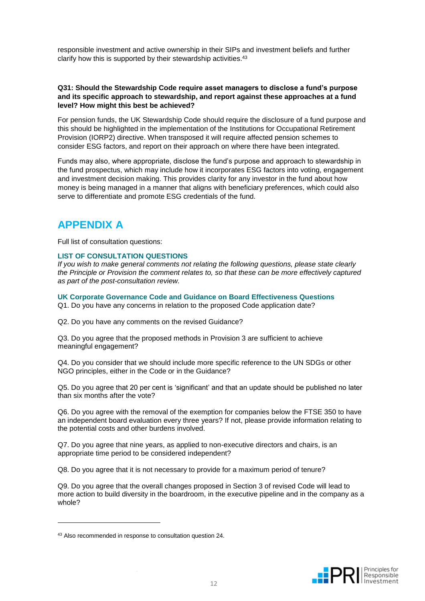responsible investment and active ownership in their SIPs and investment beliefs and further clarify how this is supported by their stewardship activities.<sup>43</sup>

#### **Q31: Should the Stewardship Code require asset managers to disclose a fund's purpose and its specific approach to stewardship, and report against these approaches at a fund level? How might this best be achieved?**

For pension funds, the UK Stewardship Code should require the disclosure of a fund purpose and this should be highlighted in the implementation of the Institutions for Occupational Retirement Provision (IORP2) directive. When transposed it will require affected pension schemes to consider ESG factors, and report on their approach on where there have been integrated.

Funds may also, where appropriate, disclose the fund's purpose and approach to stewardship in the fund prospectus, which may include how it incorporates ESG factors into voting, engagement and investment decision making. This provides clarity for any investor in the fund about how money is being managed in a manner that aligns with beneficiary preferences, which could also serve to differentiate and promote ESG credentials of the fund.

### **APPENDIX A**

Full list of consultation questions:

#### **LIST OF CONSULTATION QUESTIONS**

*If you wish to make general comments not relating the following questions, please state clearly the Principle or Provision the comment relates to, so that these can be more effectively captured as part of the post-consultation review.*

**UK Corporate Governance Code and Guidance on Board Effectiveness Questions** Q1. Do you have any concerns in relation to the proposed Code application date?

Q2. Do you have any comments on the revised Guidance?

Q3. Do you agree that the proposed methods in Provision 3 are sufficient to achieve meaningful engagement?

Q4. Do you consider that we should include more specific reference to the UN SDGs or other NGO principles, either in the Code or in the Guidance?

Q5. Do you agree that 20 per cent is 'significant' and that an update should be published no later than six months after the vote?

Q6. Do you agree with the removal of the exemption for companies below the FTSE 350 to have an independent board evaluation every three years? If not, please provide information relating to the potential costs and other burdens involved.

Q7. Do you agree that nine years, as applied to non-executive directors and chairs, is an appropriate time period to be considered independent?

Q8. Do you agree that it is not necessary to provide for a maximum period of tenure?

Q9. Do you agree that the overall changes proposed in Section 3 of revised Code will lead to more action to build diversity in the boardroom, in the executive pipeline and in the company as a whole?



<sup>43</sup> Also recommended in response to consultation question 24.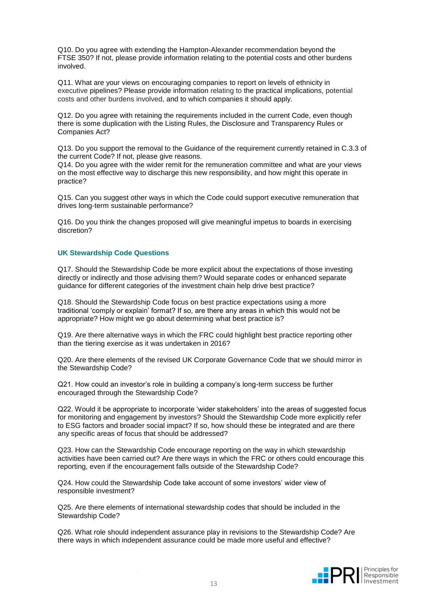Q10. Do you agree with extending the Hampton-Alexander recommendation beyond the FTSE 350? If not, please provide information relating to the potential costs and other burdens involved.

Q11. What are your views on encouraging companies to report on levels of ethnicity in executive pipelines? Please provide information relating to the practical implications, potential costs and other burdens involved, and to which companies it should apply.

Q12. Do you agree with retaining the requirements included in the current Code, even though there is some duplication with the Listing Rules, the Disclosure and Transparency Rules or Companies Act?

Q13. Do you support the removal to the Guidance of the requirement currently retained in C.3.3 of the current Code? If not, please give reasons.

Q14. Do you agree with the wider remit for the remuneration committee and what are your views on the most effective way to discharge this new responsibility, and how might this operate in practice?

Q15. Can you suggest other ways in which the Code could support executive remuneration that drives long-term sustainable performance?

Q16. Do you think the changes proposed will give meaningful impetus to boards in exercising discretion?

#### **UK Stewardship Code Questions**

Q17. Should the Stewardship Code be more explicit about the expectations of those investing directly or indirectly and those advising them? Would separate codes or enhanced separate guidance for different categories of the investment chain help drive best practice?

Q18. Should the Stewardship Code focus on best practice expectations using a more traditional 'comply or explain' format? If so, are there any areas in which this would not be appropriate? How might we go about determining what best practice is?

Q19. Are there alternative ways in which the FRC could highlight best practice reporting other than the tiering exercise as it was undertaken in 2016?

Q20. Are there elements of the revised UK Corporate Governance Code that we should mirror in the Stewardship Code?

Q21. How could an investor's role in building a company's long-term success be further encouraged through the Stewardship Code?

Q22. Would it be appropriate to incorporate 'wider stakeholders' into the areas of suggested focus for monitoring and engagement by investors? Should the Stewardship Code more explicitly refer to ESG factors and broader social impact? If so, how should these be integrated and are there any specific areas of focus that should be addressed?

Q23. How can the Stewardship Code encourage reporting on the way in which stewardship activities have been carried out? Are there ways in which the FRC or others could encourage this reporting, even if the encouragement falls outside of the Stewardship Code?

Q24. How could the Stewardship Code take account of some investors' wider view of responsible investment?

Q25. Are there elements of international stewardship codes that should be included in the Stewardship Code?

Q26. What role should independent assurance play in revisions to the Stewardship Code? Are there ways in which independent assurance could be made more useful and effective?